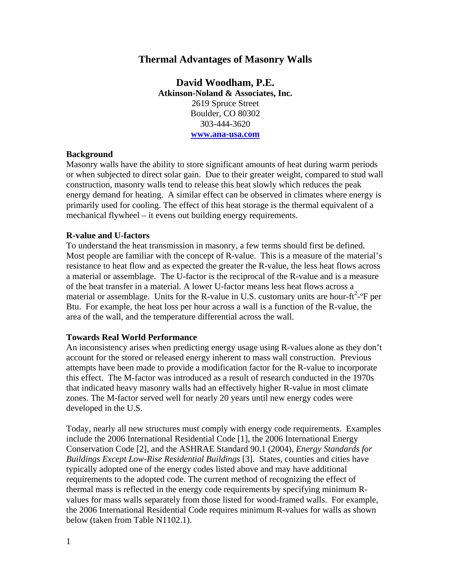# **Thermal Advantages of Masonry Walls**

**David Woodham, P.E. Atkinson-Noland & Associates, Inc.**  2619 Spruce Street Boulder, CO 80302 303-444-3620 **www.ana-usa.com**

### **Background**

Masonry walls have the ability to store significant amounts of heat during warm periods or when subjected to direct solar gain. Due to their greater weight, compared to stud wall construction, masonry walls tend to release this heat slowly which reduces the peak energy demand for heating. A similar effect can be observed in climates where energy is primarily used for cooling. The effect of this heat storage is the thermal equivalent of a mechanical flywheel – it evens out building energy requirements.

#### **R-value and U-factors**

To understand the heat transmission in masonry, a few terms should first be defined. Most people are familiar with the concept of R-value. This is a measure of the material's resistance to heat flow and as expected the greater the R-value, the less heat flows across a material or assemblage. The U-factor is the reciprocal of the R-value and is a measure of the heat transfer in a material. A lower U-factor means less heat flows across a material or assemblage. Units for the R-value in U.S. customary units are hour-ft<sup>2</sup>- $\rm{P}$  per Btu. For example, the heat loss per hour across a wall is a function of the R-value, the area of the wall, and the temperature differential across the wall.

#### **Towards Real World Performance**

An inconsistency arises when predicting energy usage using R-values alone as they don't account for the stored or released energy inherent to mass wall construction. Previous attempts have been made to provide a modification factor for the R-value to incorporate this effect. The M-factor was introduced as a result of research conducted in the 1970s that indicated heavy masonry walls had an effectively higher R-value in most climate zones. The M-factor served well for nearly 20 years until new energy codes were developed in the U.S.

Today, nearly all new structures must comply with energy code requirements. Examples include the 2006 International Residential Code [1], the 2006 International Energy Conservation Code [2], and the ASHRAE Standard 90.1 (2004), *Energy Standards for Buildings Except Low-Rise Residential Buildings* [3]. States, counties and cities have typically adopted one of the energy codes listed above and may have additional requirements to the adopted code. The current method of recognizing the effect of thermal mass is reflected in the energy code requirements by specifying minimum Rvalues for mass walls separately from those listed for wood-framed walls. For example, the 2006 International Residential Code requires minimum R-values for walls as shown below (taken from Table N1102.1).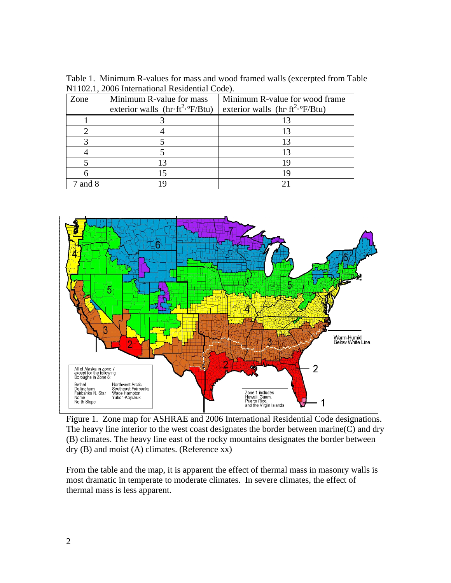Table 1. Minimum R-values for mass and wood framed walls (excerpted from Table N1102.1, 2006 International Residential Code).

| Zone  | Minimum R-value for mass<br>exterior walls $\left(\text{hr}\cdot\text{ft}^{2}\cdot{}^{\text{o}}\text{F/Btu}\right)$ | Minimum R-value for wood frame<br>exterior walls $\text{(hr}\cdot\text{ft}^2\cdot\text{P/Btu)}$ |
|-------|---------------------------------------------------------------------------------------------------------------------|-------------------------------------------------------------------------------------------------|
|       |                                                                                                                     |                                                                                                 |
|       |                                                                                                                     |                                                                                                 |
|       |                                                                                                                     |                                                                                                 |
|       |                                                                                                                     |                                                                                                 |
|       |                                                                                                                     |                                                                                                 |
|       |                                                                                                                     |                                                                                                 |
| and 8 |                                                                                                                     |                                                                                                 |



Figure 1. Zone map for ASHRAE and 2006 International Residential Code designations. The heavy line interior to the west coast designates the border between marine(C) and dry (B) climates. The heavy line east of the rocky mountains designates the border between dry (B) and moist (A) climates. (Reference xx)

From the table and the map, it is apparent the effect of thermal mass in masonry walls is most dramatic in temperate to moderate climates. In severe climates, the effect of thermal mass is less apparent.